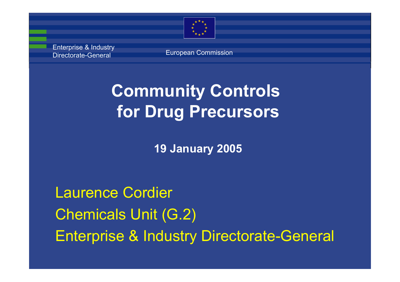

Enterprise & Industry Directorate-General

European Commission

## **Community Controls for Drug Precursors**

**19 January 2005**

Laurence Cordier Chemicals Unit (G.2) Enterprise & Industry Directorate-General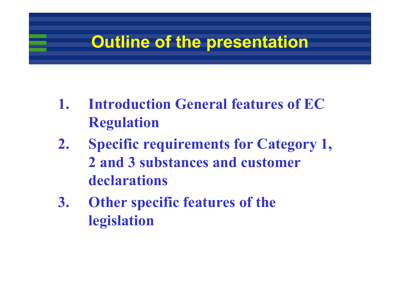## **Outline of the presentation**

- **1. Introduction General features of EC Regulation**
- **2. Specific requirements for Category 1, 2 and 3 substances and customer declarations**
- **3. Other specific features of the legislation**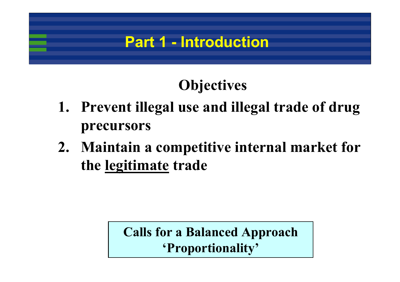#### **Part 1 - Introduction**

## **Objectives**

- **1. Prevent illegal use and illegal trade of drug precursors**
- **2. Maintain a competitive internal market for the legitimate trade**

#### **Calls for a Balanced Approach 'Proportionality'**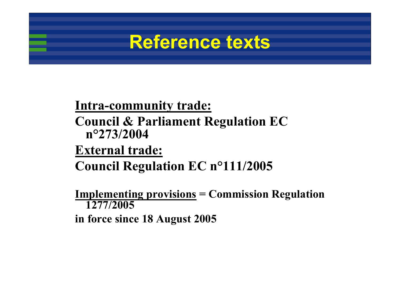## **Reference texts**

#### **Intra-community trade: Council & Parliament Regulation EC n°273/2004**

#### **External trade: Council Regulation EC n°111/2005**

**Implementing provisions = Commission Regulation 1277/2005**

**in force since 18 August 2005**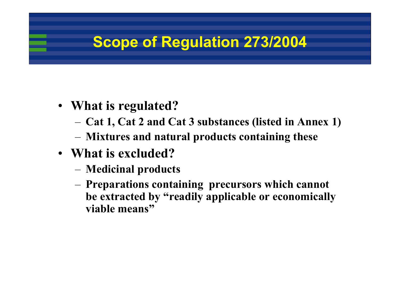#### **Scope of Regulation 273/2004**

- **What is regulated?** 
	- **Cat 1, Cat 2 and Cat 3 substances (listed in Annex 1)**
	- **Mixtures and natural products containing these**
- **What is excluded?**
	- **Medicinal products**
	- **Preparations containing precursors which cannot be extracted by "readily applicable or economically viable means"**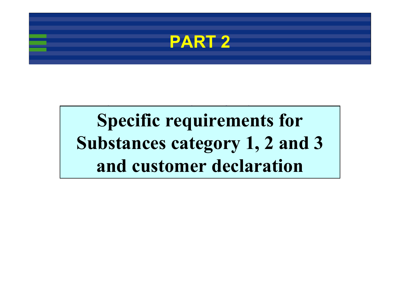

#### Specific requirements for  $A$ <sub>n</sub>  $A$ <sub>0</sub> **Specific requirements for Substances category 1, 2 and 3 and customer declaration**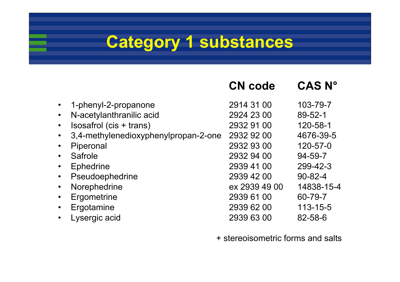## **Category 1 substances**

|           |                                      | <b>CN</b> code | <b>CAS N°</b> |
|-----------|--------------------------------------|----------------|---------------|
|           | 1-phenyl-2-propanone                 | 2914 31 00     | 103-79-7      |
|           | N-acetylanthranilic acid             | 2924 23 00     | 89-52-1       |
| $\bullet$ | Isosafrol (cis + trans)              | 2932 91 00     | 120-58-1      |
| $\bullet$ | 3,4-methylenedioxyphenylpropan-2-one | 2932 92 00     | 4676-39-5     |
|           | Piperonal                            | 2932 93 00     | 120-57-0      |
| $\bullet$ | Safrole                              | 2932 94 00     | 94-59-7       |
| $\bullet$ | <b>Ephedrine</b>                     | 2939 41 00     | 299-42-3      |
| $\bullet$ | Pseudoephedrine                      | 2939 42 00     | $90 - 82 - 4$ |
| $\bullet$ | Norephedrine                         | ex 2939 49 00  | 14838-15-4    |
|           | Ergometrine                          | 2939 61 00     | 60-79-7       |
| $\bullet$ | Ergotamine                           | 2939 62 00     | 113-15-5      |
|           | Lysergic acid                        | 2939 63 00     | 82-58-6       |

+ stereoisometric forms and salts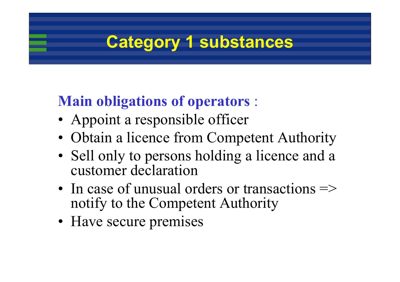## **Category 1 substances**

#### **Main obligations of operators** :

- Appoint a responsible officer
- Obtain a licence from Competent Authority
- Sell only to persons holding a licence and a customer declaration
- In case of unusual orders or transactions  $\Rightarrow$ notify to the Competent Authority
- Have secure premises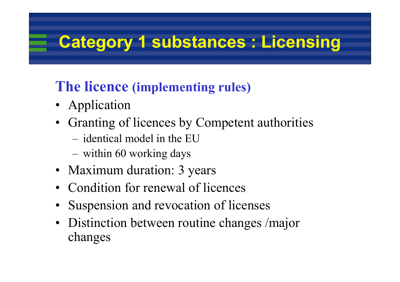## **Category 1 substances : Licensing**

#### **The licence (implementing rules)**

- Application
- Granting of licences by Competent authorities
	- identical model in the EU
	- within 60 working days
- Maximum duration: 3 years
- Condition for renewal of licences
- •Suspension and revocation of licenses
- Distinction between routine changes /major changes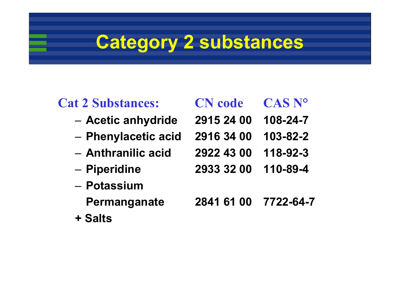# **Category 2 substances**

#### **Cat 2 Substances: CN code CAS N°**

- –**Acetic anhydride 2915 24 00 108-24-7**
- –
- 
- –
- **Potassium** 
	-
- **+ Salts**

| <b>N</b> code | CAS |
|---------------|-----|
|               |     |

- 
- **Phenylacetic acid 2916 34 00 103-82-2**
- **Anthranilic acid 2922 43 00 118-92-3**
- **Piperidine 2933 32 00 110-89-4**
	- **Permanganate 2841 61 00 7722-64-7**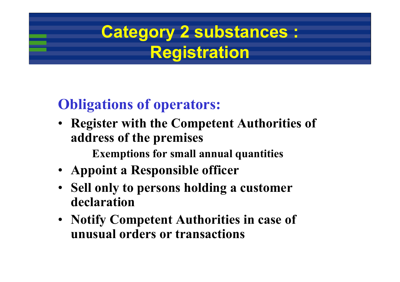## **Category 2 substances : Registration**

#### **Obligations of operators:**

• **Register with the Competent Authorities of address of the premises** 

**Exemptions for small annual quantities**

- **Appoint a Responsible officer**
- **Sell only to persons holding a customer declaration**
- **Notify Competent Authorities in case of unusual orders or transactions**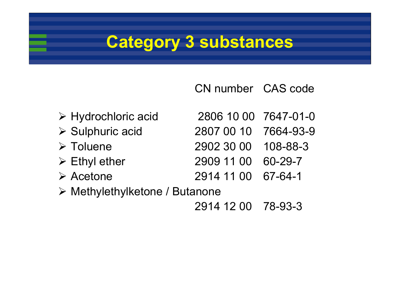## **Category 3 substances**

CN number CAS code

- 
- 
- **≻ Toluene**
- $\triangleright$  Ethyl ether
- **≻** Acetone
- ¾ Hydrochloric acid 2806 10 00 7647-01-0
- ¾ Sulphuric acid 2807 00 10 7664-93-9
	- Toluene 2902 30 00 108-88-3
	- Ethyl ether 2909 11 00 60-29-7
	- Acetone 2914 11 00 67-64-1
- ¾ Methylethylketone / Butanone
	- 2914 12 00 78-93-3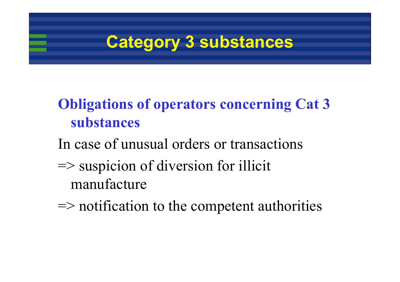

#### **Obligations of operators concerning Cat 3 substances**

In case of unusual orders or transactions

 $\Rightarrow$  suspicion of diversion for illicit manufacture

 $\Rightarrow$  notification to the competent authorities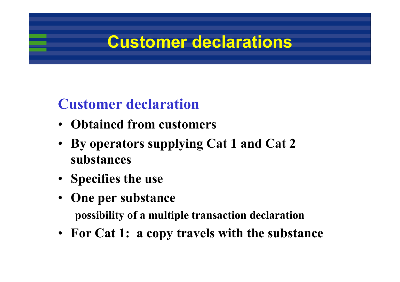## **Customer declarations**

#### **Customer declaration**

- **Obtained from customers**
- **By operators supplying Cat 1 and Cat 2 substances**
- **Specifies the use**
- **One per substance possibility of a multiple transaction declaration**
- **For Cat 1: a copy travels with the substance**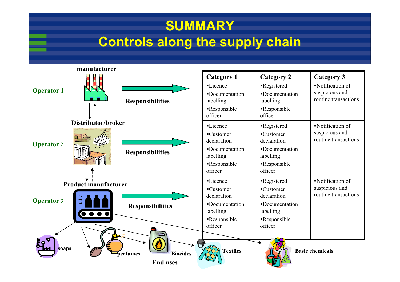#### **SUMMARY Controls along the supply chain**

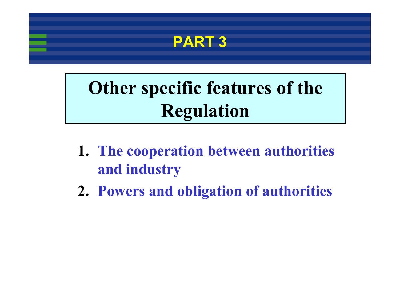

# **Other specific features of the Regulation**

- **1. The cooperation between authorities and industry**
- **2. Powers and obligation of authorities**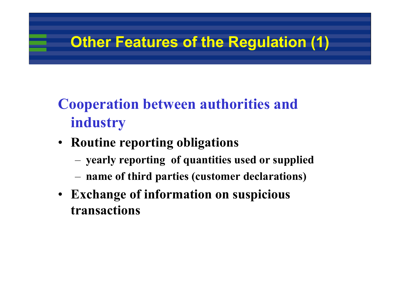## **Other Features of the Regulation (1)**

## **Cooperation between authorities and industry**

- **Routine reporting obligations** 
	- **yearly reporting of quantities used or supplied**
	- **name of third parties (customer declarations)**
- **Exchange of information on suspicious transactions**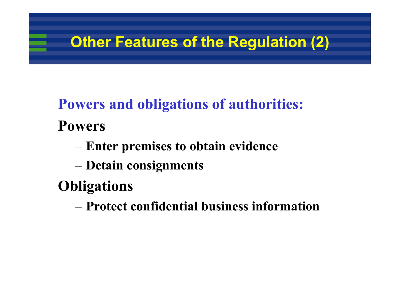## **Other Features of the Regulation (2)**

## **Powers and obligations of authorities: Powers**

- **Enter premises to obtain evidence**
- **Detain consignments**

## **Obligations**

– **Protect confidential business information**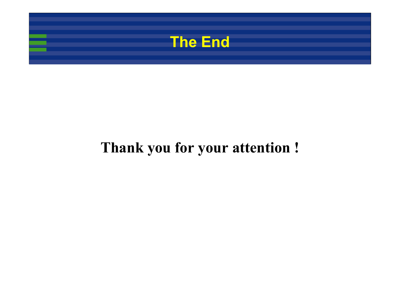

#### **Thank you for your attention !**